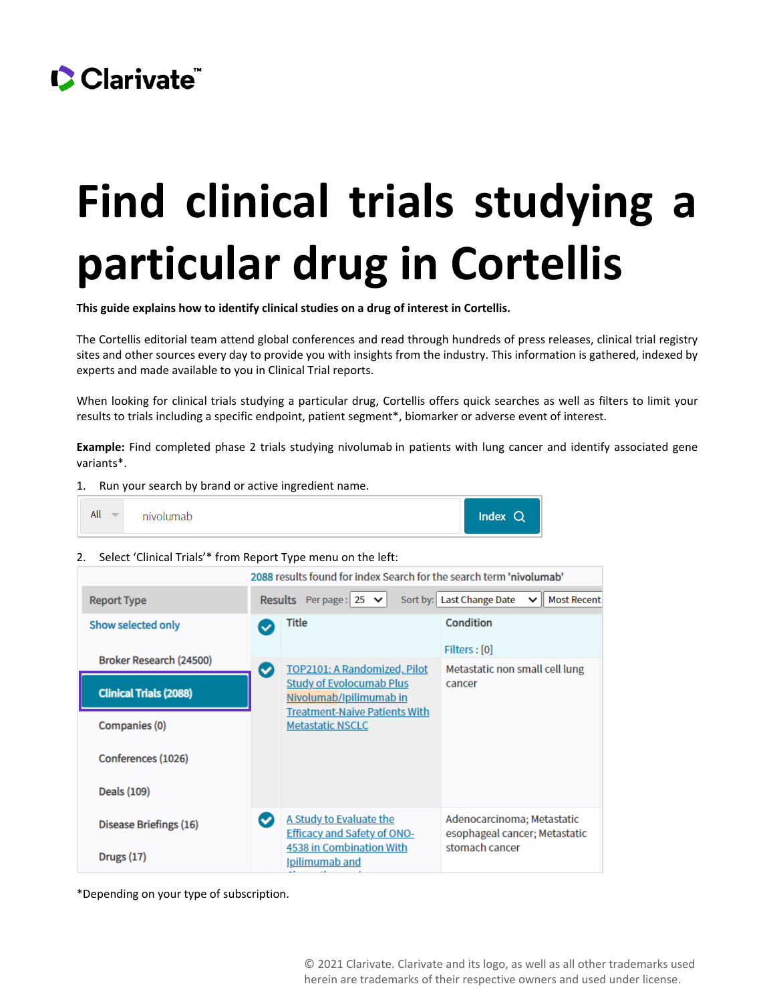

## **Find clinical trials studying a particular drug in Cortellis**

**This guide explains how to identify clinical studies on a drug of interest in Cortellis.**

The Cortellis editorial team attend global conferences and read through hundreds of press releases, clinical trial registry sites and other sources every day to provide you with insights from the industry. This information is gathered, indexed by experts and made available to you in Clinical Trial reports.

When looking for clinical trials studying a particular drug, Cortellis offers quick searches as well as filters to limit your results to trials including a specific endpoint, patient segment\*, biomarker or adverse event of interest.

**Example:** Find completed phase 2 trials studying nivolumab in patients with lung cancer and identify associated gene variants\*.

1. Run your search by brand or active ingredient name.

| All<br>$\overline{\phantom{a}}$ | nivolumab | $Index$ Q |
|---------------------------------|-----------|-----------|
|---------------------------------|-----------|-----------|

2. Select 'Clinical Trials'\* from Report Type menu on the left:

|                               |              | 2088 results found for index Search for the search term 'nivolumab'                        |                                                                   |
|-------------------------------|--------------|--------------------------------------------------------------------------------------------|-------------------------------------------------------------------|
| <b>Report Type</b>            |              | <b>Results</b> Perpage: $25 \times$                                                        | Sort by: Last Change Date<br><b>I</b> Most Recent<br>$\checkmark$ |
| Show selected only            | ◡            | Title                                                                                      | Condition                                                         |
| Broker Research (24500)       |              |                                                                                            | Filters : [0]                                                     |
| <b>Clinical Trials (2088)</b> | $\checkmark$ | TOP2101: A Randomized, Pilot<br><b>Study of Evolocumab Plus</b><br>Nivolumab/Ipilimumab in | Metastatic non small cell lung<br>cancer                          |
| Companies (0)                 |              | <b>Treatment-Naive Patients With</b><br><b>Metastatic NSCLC</b>                            |                                                                   |
| Conferences (1026)            |              |                                                                                            |                                                                   |
| Deals (109)                   |              |                                                                                            |                                                                   |
| <b>Disease Briefings (16)</b> | $\checkmark$ | A Study to Evaluate the<br><b>Efficacy and Safety of ONO-</b>                              | Adenocarcinoma; Metastatic<br>esophageal cancer; Metastatic       |
| Drugs $(17)$                  |              | 4538 in Combination With<br><b>Ipilimumab and</b>                                          | stomach cancer                                                    |

\*Depending on your type of subscription.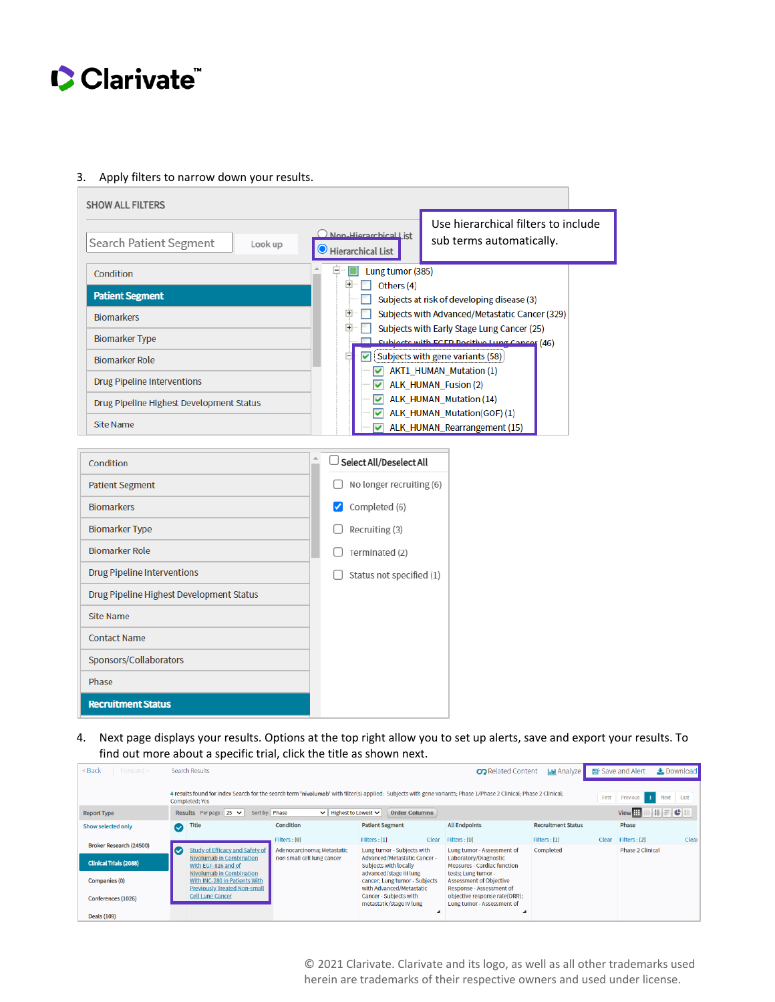

## 3. Apply filters to narrow down your results.

| Search Patient Segment<br>Look up                                                                                                                                                                                                                                          | Non-Hierarchical List<br>Hierarchical List                                                                                           | Use hierarchical filters to include<br>sub terms automatically.                                                                                                                                                                                                                                                                                                                                                                                |
|----------------------------------------------------------------------------------------------------------------------------------------------------------------------------------------------------------------------------------------------------------------------------|--------------------------------------------------------------------------------------------------------------------------------------|------------------------------------------------------------------------------------------------------------------------------------------------------------------------------------------------------------------------------------------------------------------------------------------------------------------------------------------------------------------------------------------------------------------------------------------------|
| Condition<br><b>Patient Segment</b><br><b>Biomarkers</b><br><b>Biomarker Type</b><br><b>Biomarker Role</b><br><b>Drug Pipeline Interventions</b><br>Drug Pipeline Highest Development Status<br>Site Name                                                                  | Lung tumor (385)<br>$+$<br>Others (4)<br>$\overline{+}$<br>⊽<br>$\overline{ }$<br>⊽                                                  | Subjects at risk of developing disease (3)<br>Subjects with Advanced/Metastatic Cancer (329)<br>Subjects with Early Stage Lung Cancer (25)<br>Subjects with EGER Positive Lung Cancer (46)<br>[Subjects with gene variants (58)]<br>$\blacktriangleright$ AKT1_HUMAN_Mutation (1)<br>$\blacktriangleright$ ALK_HUMAN_Fusion (2)<br>$\blacktriangleright$ ALK_HUMAN_Mutation (14)<br>ALK_HUMAN_Mutation(GOF)(1)<br>ALK_HUMAN_Rearrangement (15) |
| Condition<br><b>Patient Segment</b><br><b>Biomarkers</b><br><b>Biomarker Type</b><br><b>Biomarker Role</b><br><b>Drug Pipeline Interventions</b><br>Drug Pipeline Highest Development Status<br><b>Site Name</b><br><b>Contact Name</b><br>Sponsors/Collaborators<br>Phase | Select All/Deselect All<br>No longer recruiting (6)<br>Completed (6)<br>Recruiting (3)<br>Terminated (2)<br>Status not specified (1) |                                                                                                                                                                                                                                                                                                                                                                                                                                                |
| <b>Recruitment Status</b>                                                                                                                                                                                                                                                  |                                                                                                                                      |                                                                                                                                                                                                                                                                                                                                                                                                                                                |

4. Next page displays your results. Options at the top right allow you to set up alerts, save and export your results. To find out more about a specific trial, click the title as shown next.

| $<$ Back<br>$Forward \geq$    |               | Search Results                                                     |                                                          |                                                                                | <b>CO</b> Related Content                                                                                                                                                           | <b>In Analyze</b>         |       | <b>EP</b> Save and Alert | Le Download                          |
|-------------------------------|---------------|--------------------------------------------------------------------|----------------------------------------------------------|--------------------------------------------------------------------------------|-------------------------------------------------------------------------------------------------------------------------------------------------------------------------------------|---------------------------|-------|--------------------------|--------------------------------------|
| <b>Report Type</b>            |               | Completed; Yes<br>Results Perpage: $25 \times$<br>Sort by: Phase   | Highest to Lowest ↓<br>$\checkmark$                      | <b>Order Columns</b>                                                           | 4 results found for index Search for the search term 'nivolumab' with filter(s) applied: Subjects with gene variants; Phase 1/Phase 2 Clinical; Phase 2 Clinical; Phase 2 Clinical; |                           | First | Previous<br>View         | <b>Next</b><br>Last<br>$  .   =  C $ |
| <b>Show selected only</b>     | $\bm{\omega}$ | <b>Title</b>                                                       | Condition                                                | <b>Patient Segment</b>                                                         | <b>All Endpoints</b>                                                                                                                                                                | <b>Recruitment Status</b> |       | Phase                    |                                      |
| Broker Research (24500)       |               |                                                                    | Filters : [0]                                            | Filters: [1]<br>Clear                                                          | Filters: [0]                                                                                                                                                                        | Filters: [1]              | Clear | Filters : [2]            | Clear                                |
|                               | (V            | Study of Efficacy and Safety of<br><b>Nivolumab in Combination</b> | Adenocarcinoma; Metastatic<br>non small cell lung cancer | Lung tumor - Subjects with                                                     | Lung tumor - Assessment of                                                                                                                                                          | Completed                 |       | <b>Phase 2 Clinical</b>  |                                      |
| <b>Clinical Trials (2088)</b> |               | With EGF-816 and of                                                |                                                          | Advanced/Metastatic Cancer -<br><b>Subjects with locally</b>                   | Laboratory/Diagnostic<br><b>Measures - Cardiac function</b>                                                                                                                         |                           |       |                          |                                      |
| <b>Companies (0)</b>          |               | <b>Nivolumab in Combination</b><br>With INC-280 in Patients With   |                                                          | advanced/stage III lung<br>cancer; Lung tumor - Subjects                       | tests; Lung tumor -<br><b>Assessment of Objective</b>                                                                                                                               |                           |       |                          |                                      |
| Conferences (1026)            |               | <b>Previously Treated Non-small</b><br><b>Cell Lung Cancer</b>     |                                                          | with Advanced/Metastatic<br>Cancer - Subjects with<br>metastatic/stage IV lung | Response - Assessment of<br>objective response rate(ORR);<br>Lung tumor - Assessment of                                                                                             |                           |       |                          |                                      |
| Deals (109)                   |               |                                                                    |                                                          |                                                                                |                                                                                                                                                                                     |                           |       |                          |                                      |

© 2021 Clarivate. Clarivate and its logo, as well as all other trademarks used herein are trademarks of their respective owners and used under license.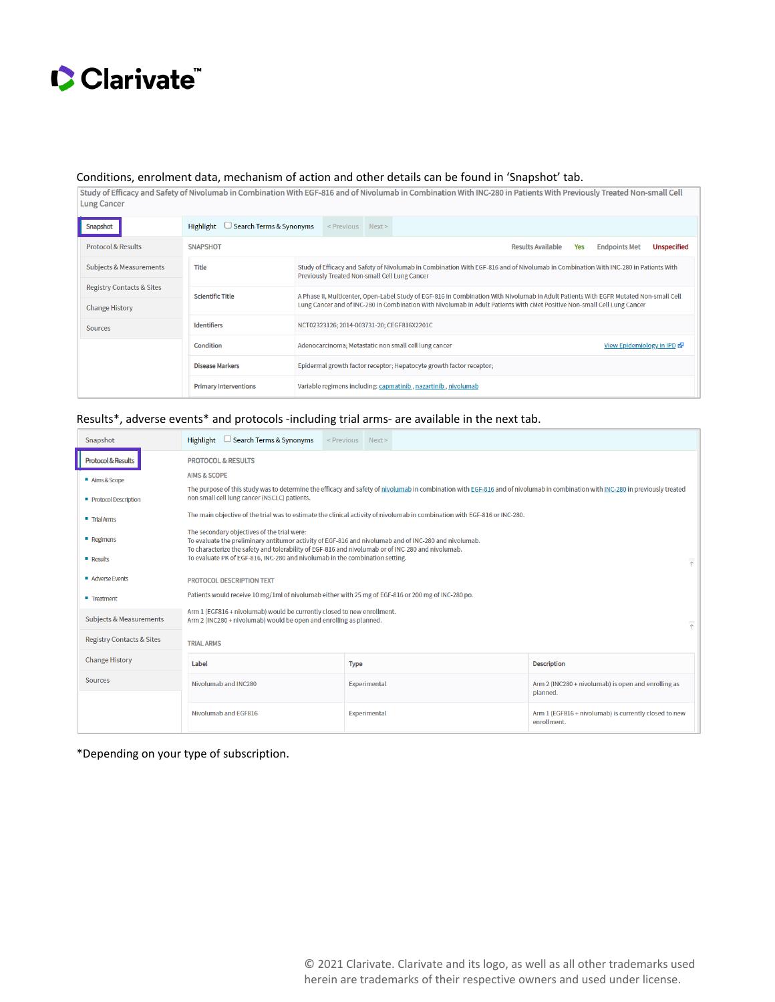

Conditions, enrolment data, mechanism of action and other details can be found in 'Snapshot' tab.<br>
Study of Efficacy and Safety of Nivolumab in Combination With EGF-816 and of Nivolumab in Combination With INC-280 in Patie Lung Cancer

| Snapshot                                                                                       | <b>Highlight</b><br>Search Terms & Synonyms |                                                                                                                                                                                                                                                                   | <previous next=""></previous> |  |                                                       |                          |     |                            |                    |
|------------------------------------------------------------------------------------------------|---------------------------------------------|-------------------------------------------------------------------------------------------------------------------------------------------------------------------------------------------------------------------------------------------------------------------|-------------------------------|--|-------------------------------------------------------|--------------------------|-----|----------------------------|--------------------|
| <b>Protocol &amp; Results</b>                                                                  | <b>SNAPSHOT</b>                             |                                                                                                                                                                                                                                                                   |                               |  |                                                       | <b>Results Available</b> | Yes | <b>Endpoints Met</b>       | <b>Unspecified</b> |
| Subjects & Measurements                                                                        | Title                                       | Study of Efficacy and Safety of Nivolumab in Combination With EGF-816 and of Nivolumab in Combination With INC-280 in Patients With<br>Previously Treated Non-small Cell Lung Cancer                                                                              |                               |  |                                                       |                          |     |                            |                    |
| <b>Registry Contacts &amp; Sites</b><br><b>Change History</b>                                  | <b>Scientific Title</b>                     | A Phase II, Multicenter, Open-Label Study of EGF-816 in Combination With Nivolumab in Adult Patients With EGFR Mutated Non-small Cell<br>Lung Cancer and of INC-280 in Combination With Nivolumab in Adult Patients With cMet Positive Non-small Cell Lung Cancer |                               |  |                                                       |                          |     |                            |                    |
| <b>Sources</b>                                                                                 | Identifiers                                 | NCT02323126; 2014-003731-20; CEGF816X2201C                                                                                                                                                                                                                        |                               |  |                                                       |                          |     |                            |                    |
|                                                                                                | Condition                                   |                                                                                                                                                                                                                                                                   |                               |  | Adenocarcinoma; Metastatic non small cell lung cancer |                          |     | View Epidemiology in IPD & |                    |
|                                                                                                | <b>Disease Markers</b>                      | Epidermal growth factor receptor; Hepatocyte growth factor receptor;                                                                                                                                                                                              |                               |  |                                                       |                          |     |                            |                    |
| <b>Primary Interventions</b><br>Variable regimens including: capmatinib, nazartinib, nivolumab |                                             |                                                                                                                                                                                                                                                                   |                               |  |                                                       |                          |     |                            |                    |

## Results\*, adverse events\* and protocols -including trial arms- are available in the next tab.

| Snapshot                             | Highlight $\Box$<br>Search Terms & Synonyms                                                                                                                                                                                                               | <previous next=""></previous> |  |                                                                      |  |  |  |  |  |
|--------------------------------------|-----------------------------------------------------------------------------------------------------------------------------------------------------------------------------------------------------------------------------------------------------------|-------------------------------|--|----------------------------------------------------------------------|--|--|--|--|--|
| <b>Protocol &amp; Results</b>        | <b>PROTOCOL &amp; RESULTS</b>                                                                                                                                                                                                                             |                               |  |                                                                      |  |  |  |  |  |
| Aims & Scope                         | <b>AIMS &amp; SCOPE</b>                                                                                                                                                                                                                                   |                               |  |                                                                      |  |  |  |  |  |
| Protocol Description                 | The purpose of this study was to determine the efficacy and safety of nivolumab in combination with EGF-816 and of nivolumab in combination with INC-280 in previously treated<br>non small cell lung cancer (NSCLC) patients.                            |                               |  |                                                                      |  |  |  |  |  |
| " Trial Arms                         | The main objective of the trial was to estimate the clinical activity of nivolumab in combination with EGF-816 or INC-280.                                                                                                                                |                               |  |                                                                      |  |  |  |  |  |
| <b>Regimens</b>                      | The secondary objectives of the trial were:<br>To evaluate the preliminary antitumor activity of EGF-816 and nivolumab and of INC-280 and nivolumab.<br>To characterize the safety and tolerability of EGF-816 and nivolumab or of INC-280 and nivolumab. |                               |  |                                                                      |  |  |  |  |  |
| <b>Results</b>                       | To evaluate PK of EGF-816, INC-280 and nivolumab in the combination setting.                                                                                                                                                                              |                               |  | $\overline{\hat{\gamma}}$                                            |  |  |  |  |  |
| Adverse Events                       | PROTOCOL DESCRIPTION TEXT                                                                                                                                                                                                                                 |                               |  |                                                                      |  |  |  |  |  |
| ■ Treatment                          | Patients would receive 10 mg/1ml of nivolumab either with 25 mg of EGF-816 or 200 mg of INC-280 po.                                                                                                                                                       |                               |  |                                                                      |  |  |  |  |  |
| <b>Subjects &amp; Measurements</b>   | Arm 1 (EGF816 + nivolumab) would be currently closed to new enrollment.<br>Arm 2 (INC280 + nivolumab) would be open and enrolling as planned.<br>$\overline{\widetilde{\gamma}}$                                                                          |                               |  |                                                                      |  |  |  |  |  |
| <b>Registry Contacts &amp; Sites</b> | <b>TRIAL ARMS</b>                                                                                                                                                                                                                                         |                               |  |                                                                      |  |  |  |  |  |
| <b>Change History</b>                | Label<br><b>Type</b><br><b>Description</b>                                                                                                                                                                                                                |                               |  |                                                                      |  |  |  |  |  |
| <b>Sources</b>                       | Nivolumab and INC280<br>Arm 2 (INC280 + nivolumab) is open and enrolling as<br>Experimental<br>planned.                                                                                                                                                   |                               |  |                                                                      |  |  |  |  |  |
|                                      | Nivolumab and EGF816                                                                                                                                                                                                                                      | Experimental                  |  | Arm 1 (EGF816 + nivolumab) is currently closed to new<br>enrollment. |  |  |  |  |  |

\*Depending on your type of subscription.